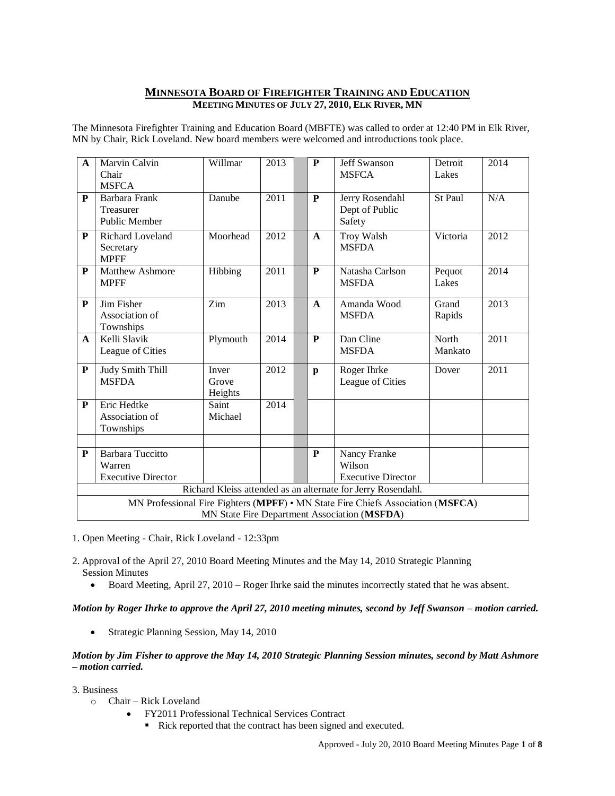# **MINNESOTA BOARD OF FIREFIGHTER TRAINING AND EDUCATION MEETING MINUTES OF JULY 27, 2010, ELK RIVER, MN**

The Minnesota Firefighter Training and Education Board (MBFTE) was called to order at 12:40 PM in Elk River, MN by Chair, Rick Loveland. New board members were welcomed and introductions took place.

| $\mathbf{A}$                                                                    | <b>Marvin Calvin</b><br>Chair<br><b>MSFCA</b>                  | Willmar                   | 2013              |  | P            | <b>Jeff Swanson</b><br><b>MSFCA</b>                 | Detroit<br>Lakes | 2014 |
|---------------------------------------------------------------------------------|----------------------------------------------------------------|---------------------------|-------------------|--|--------------|-----------------------------------------------------|------------------|------|
| $\overline{\mathbf{P}}$                                                         | <b>Barbara Frank</b><br>Treasurer<br><b>Public Member</b>      | Danube                    | 2011              |  | ${\bf P}$    | Jerry Rosendahl<br>Dept of Public<br>Safety         | St Paul          | N/A  |
| ${\bf P}$                                                                       | <b>Richard Loveland</b><br>Secretary<br><b>MPFF</b>            | Moorhead                  | 2012              |  | $\mathbf{A}$ | Troy Walsh<br><b>MSFDA</b>                          | Victoria         | 2012 |
| P                                                                               | <b>Matthew Ashmore</b><br><b>MPFF</b>                          | Hibbing                   | 2011              |  | P            | Natasha Carlson<br><b>MSFDA</b>                     | Pequot<br>Lakes  | 2014 |
| $\mathbf{P}$                                                                    | Jim Fisher<br>Association of<br>Townships                      | Zim                       | 2013              |  | $\mathbf{A}$ | Amanda Wood<br><b>MSFDA</b>                         | Grand<br>Rapids  | 2013 |
| $\mathbf{A}$                                                                    | Kelli Slavik<br>League of Cities                               | Plymouth                  | 2014              |  | P            | Dan Cline<br><b>MSFDA</b>                           | North<br>Mankato | 2011 |
| ${\bf P}$                                                                       | <b>Judy Smith Thill</b><br><b>MSFDA</b>                        | Inver<br>Grove<br>Heights | 2012              |  | $\mathbf{p}$ | Roger Ihrke<br>League of Cities                     | Dover            | 2011 |
| $\mathbf{P}$                                                                    | Eric Hedtke<br>Association of<br>Townships                     | Saint<br>Michael          | $\overline{2014}$ |  |              |                                                     |                  |      |
|                                                                                 |                                                                |                           |                   |  |              |                                                     |                  |      |
| ${\bf P}$                                                                       | <b>Barbara Tuccitto</b><br>Warren<br><b>Executive Director</b> |                           |                   |  | ${\bf P}$    | Nancy Franke<br>Wilson<br><b>Executive Director</b> |                  |      |
| Richard Kleiss attended as an alternate for Jerry Rosendahl.                    |                                                                |                           |                   |  |              |                                                     |                  |      |
| MN Professional Fire Fighters (MPFF) • MN State Fire Chiefs Association (MSFCA) |                                                                |                           |                   |  |              |                                                     |                  |      |
| MN State Fire Department Association (MSFDA)                                    |                                                                |                           |                   |  |              |                                                     |                  |      |

1. Open Meeting - Chair, Rick Loveland - 12:33pm

- 2. Approval of the April 27, 2010 Board Meeting Minutes and the May 14, 2010 Strategic Planning Session Minutes
	- Board Meeting, April 27, 2010 Roger Ihrke said the minutes incorrectly stated that he was absent.

*Motion by Roger Ihrke to approve the April 27, 2010 meeting minutes, second by Jeff Swanson – motion carried.* 

• Strategic Planning Session, May 14, 2010

# *Motion by Jim Fisher to approve the May 14, 2010 Strategic Planning Session minutes, second by Matt Ashmore – motion carried.*

- 3. Business
	- o Chair Rick Loveland
		- FY2011 Professional Technical Services Contract
			- Rick reported that the contract has been signed and executed.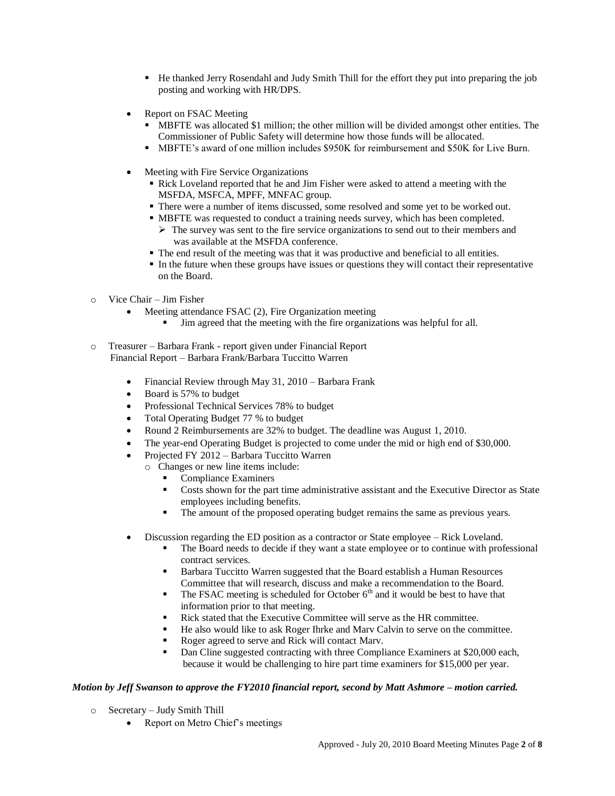- He thanked Jerry Rosendahl and Judy Smith Thill for the effort they put into preparing the job posting and working with HR/DPS.
- Report on FSAC Meeting
	- MBFTE was allocated \$1 million; the other million will be divided amongst other entities. The Commissioner of Public Safety will determine how those funds will be allocated.
	- MBFTE's award of one million includes \$950K for reimbursement and \$50K for Live Burn.
- Meeting with Fire Service Organizations
	- Rick Loveland reported that he and Jim Fisher were asked to attend a meeting with the MSFDA, MSFCA, MPFF, MNFAC group.
	- There were a number of items discussed, some resolved and some yet to be worked out.
	- MBFTE was requested to conduct a training needs survey, which has been completed.
		- $\triangleright$  The survey was sent to the fire service organizations to send out to their members and was available at the MSFDA conference.
	- The end result of the meeting was that it was productive and beneficial to all entities.
	- In the future when these groups have issues or questions they will contact their representative on the Board.
- o Vice Chair Jim Fisher
	- Meeting attendance FSAC (2), Fire Organization meeting
		- Jim agreed that the meeting with the fire organizations was helpful for all.
- o Treasurer Barbara Frank report given under Financial Report Financial Report – Barbara Frank/Barbara Tuccitto Warren
	- Financial Review through May 31, 2010 Barbara Frank
	- Board is 57% to budget
	- Professional Technical Services 78% to budget
	- Total Operating Budget 77 % to budget
	- Round 2 Reimbursements are 32% to budget. The deadline was August 1, 2010.
	- The year-end Operating Budget is projected to come under the mid or high end of \$30,000.
	- Projected FY 2012 Barbara Tuccitto Warren
		- o Changes or new line items include:
			- Compliance Examiners
			- Costs shown for the part time administrative assistant and the Executive Director as State employees including benefits.
			- The amount of the proposed operating budget remains the same as previous years.
	- Discussion regarding the ED position as a contractor or State employee Rick Loveland.
		- The Board needs to decide if they want a state employee or to continue with professional contract services.
		- **Barbara Tuccitto Warren suggested that the Board establish a Human Resources** Committee that will research, discuss and make a recommendation to the Board.
		- The FSAC meeting is scheduled for October  $6<sup>th</sup>$  and it would be best to have that information prior to that meeting.
		- Rick stated that the Executive Committee will serve as the HR committee.
		- He also would like to ask Roger Ihrke and Marv Calvin to serve on the committee.
		- Roger agreed to serve and Rick will contact Marv.
		- Dan Cline suggested contracting with three Compliance Examiners at \$20,000 each, because it would be challenging to hire part time examiners for \$15,000 per year.

# *Motion by Jeff Swanson to approve the FY2010 financial report, second by Matt Ashmore – motion carried.*

- o Secretary Judy Smith Thill
	- Report on Metro Chief's meetings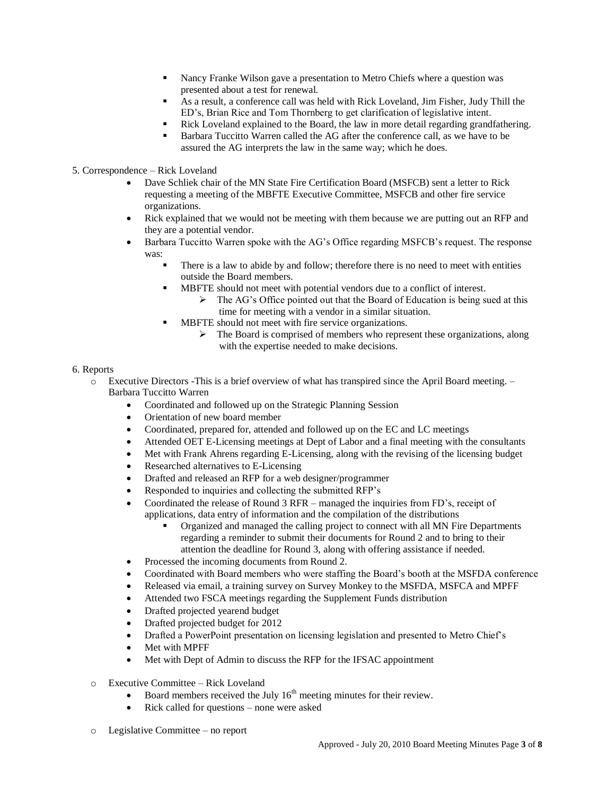- Nancy Franke Wilson gave a presentation to Metro Chiefs where a question was presented about a test for renewal.
- As a result, a conference call was held with Rick Loveland, Jim Fisher, Judy Thill the ED's, Brian Rice and Tom Thornberg to get clarification of legislative intent.
- Rick Loveland explained to the Board, the law in more detail regarding grandfathering.
- Barbara Tuccitto Warren called the AG after the conference call, as we have to be assured the AG interprets the law in the same way; which he does.
- 5. Correspondence Rick Loveland
	- Dave Schliek chair of the MN State Fire Certification Board (MSFCB) sent a letter to Rick requesting a meeting of the MBFTE Executive Committee, MSFCB and other fire service organizations.
	- Rick explained that we would not be meeting with them because we are putting out an RFP and they are a potential vendor.
	- Barbara Tuccitto Warren spoke with the AG's Office regarding MSFCB's request. The response was:
		- There is a law to abide by and follow; therefore there is no need to meet with entities outside the Board members.
		- MBFTE should not meet with potential vendors due to a conflict of interest.
			- $\triangleright$  The AG's Office pointed out that the Board of Education is being sued at this time for meeting with a vendor in a similar situation.
		- MBFTE should not meet with fire service organizations.
			- $\triangleright$  The Board is comprised of members who represent these organizations, along with the expertise needed to make decisions.

## 6. Reports

- o Executive Directors -This is a brief overview of what has transpired since the April Board meeting. Barbara Tuccitto Warren
	- Coordinated and followed up on the Strategic Planning Session
	- Orientation of new board member
	- Coordinated, prepared for, attended and followed up on the EC and LC meetings
	- Attended OET E-Licensing meetings at Dept of Labor and a final meeting with the consultants
	- Met with Frank Ahrens regarding E-Licensing, along with the revising of the licensing budget
	- Researched alternatives to E-Licensing
	- Drafted and released an RFP for a web designer/programmer
	- Responded to inquiries and collecting the submitted RFP's
	- Coordinated the release of Round 3 RFR managed the inquiries from FD's, receipt of applications, data entry of information and the compilation of the distributions
		- Organized and managed the calling project to connect with all MN Fire Departments regarding a reminder to submit their documents for Round 2 and to bring to their attention the deadline for Round 3, along with offering assistance if needed.
	- Processed the incoming documents from Round 2.
	- Coordinated with Board members who were staffing the Board's booth at the MSFDA conference
	- Released via email, a training survey on Survey Monkey to the MSFDA, MSFCA and MPFF
	- Attended two FSCA meetings regarding the Supplement Funds distribution
	- Drafted projected yearend budget
	- Drafted projected budget for 2012
	- Drafted a PowerPoint presentation on licensing legislation and presented to Metro Chief's
	- Met with MPFF
	- Met with Dept of Admin to discuss the RFP for the IFSAC appointment
- o Executive Committee Rick Loveland
	- Board members received the July  $16<sup>th</sup>$  meeting minutes for their review.
	- Rick called for questions none were asked
- o Legislative Committee no report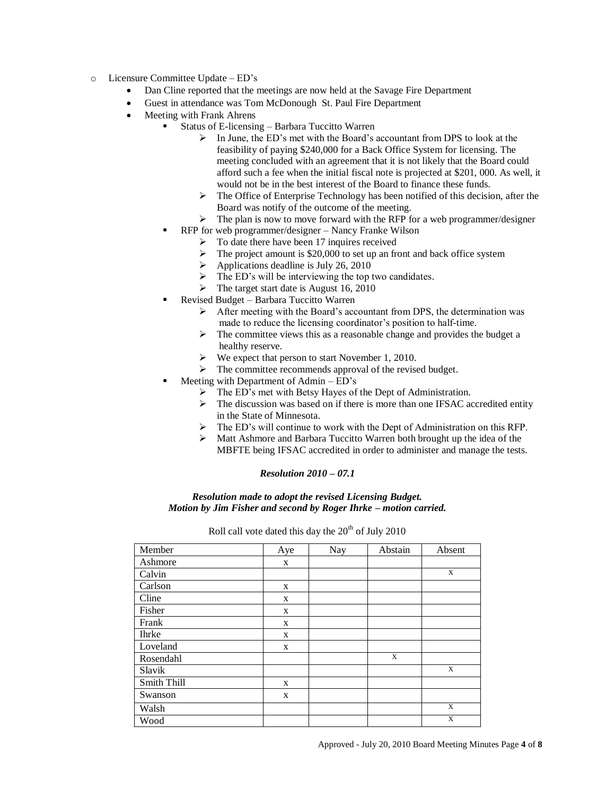- o Licensure Committee Update ED's
	- Dan Cline reported that the meetings are now held at the Savage Fire Department
	- Guest in attendance was Tom McDonough St. Paul Fire Department
	- Meeting with Frank Ahrens
		- Status of E-licensing Barbara Tuccitto Warren
			- $\triangleright$  In June, the ED's met with the Board's accountant from DPS to look at the feasibility of paying \$240,000 for a Back Office System for licensing. The meeting concluded with an agreement that it is not likely that the Board could afford such a fee when the initial fiscal note is projected at \$201, 000. As well, it would not be in the best interest of the Board to finance these funds.
			- $\triangleright$  The Office of Enterprise Technology has been notified of this decision, after the Board was notify of the outcome of the meeting.
			- $\triangleright$  The plan is now to move forward with the RFP for a web programmer/designer
			- RFP for web programmer/designer Nancy Franke Wilson
				- To date there have been 17 inquires received
				- The project amount is \$20,000 to set up an front and back office system
				- $\blacktriangleright$  Applications deadline is July 26, 2010
				- $\triangleright$  The ED's will be interviewing the top two candidates.
				- $\triangleright$  The target start date is August 16, 2010
		- Revised Budget Barbara Tuccitto Warren
			- $\triangleright$  After meeting with the Board's accountant from DPS, the determination was made to reduce the licensing coordinator's position to half-time.
			- $\triangleright$  The committee views this as a reasonable change and provides the budget a healthy reserve.
			- We expect that person to start November 1, 2010.
			- $\triangleright$  The committee recommends approval of the revised budget.
		- Meeting with Department of Admin ED's
			- The ED's met with Betsy Hayes of the Dept of Administration.
			- $\triangleright$  The discussion was based on if there is more than one IFSAC accredited entity in the State of Minnesota.
			- The ED's will continue to work with the Dept of Administration on this RFP.
			- $\triangleright$  Matt Ashmore and Barbara Tuccitto Warren both brought up the idea of the MBFTE being IFSAC accredited in order to administer and manage the tests.

*Resolution made to adopt the revised Licensing Budget. Motion by Jim Fisher and second by Roger Ihrke – motion carried.*

Roll call vote dated this day the  $20<sup>th</sup>$  of July 2010

| Member      | Aye | Nay | Abstain | Absent |
|-------------|-----|-----|---------|--------|
| Ashmore     | X   |     |         |        |
| Calvin      |     |     |         | X      |
| Carlson     | X   |     |         |        |
| Cline       | X   |     |         |        |
| Fisher      | X   |     |         |        |
| Frank       | X   |     |         |        |
| Ihrke       | X   |     |         |        |
| Loveland    | X   |     |         |        |
| Rosendahl   |     |     | X       |        |
| Slavik      |     |     |         | X      |
| Smith Thill | X   |     |         |        |
| Swanson     | X   |     |         |        |
| Walsh       |     |     |         | X      |
| Wood        |     |     |         | X      |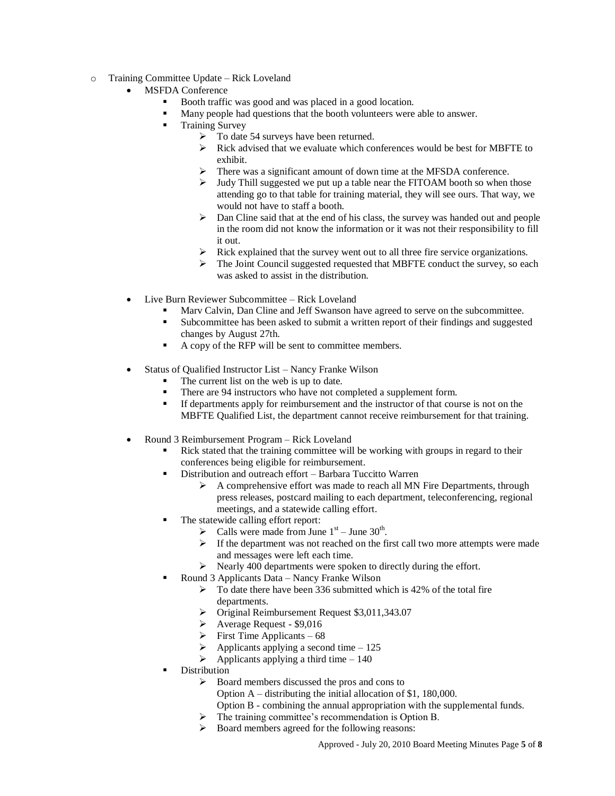- o Training Committee Update Rick Loveland
	- MSFDA Conference
		- Booth traffic was good and was placed in a good location.
		- Many people had questions that the booth volunteers were able to answer.
		- Training Survey
			- > To date 54 surveys have been returned.
			- $\triangleright$  Rick advised that we evaluate which conferences would be best for MBFTE to exhibit.
			- There was a significant amount of down time at the MFSDA conference.
			- $\triangleright$  Judy Thill suggested we put up a table near the FITOAM booth so when those attending go to that table for training material, they will see ours. That way, we would not have to staff a booth.
			- $\triangleright$  Dan Cline said that at the end of his class, the survey was handed out and people in the room did not know the information or it was not their responsibility to fill it out.
			- $\triangleright$  Rick explained that the survey went out to all three fire service organizations.
			- $\triangleright$  The Joint Council suggested requested that MBFTE conduct the survey, so each was asked to assist in the distribution.
	- Live Burn Reviewer Subcommittee Rick Loveland
		- Marv Calvin, Dan Cline and Jeff Swanson have agreed to serve on the subcommittee.
		- Subcommittee has been asked to submit a written report of their findings and suggested changes by August 27th.
		- A copy of the RFP will be sent to committee members.
	- Status of Qualified Instructor List Nancy Franke Wilson
		- The current list on the web is up to date.
		- There are 94 instructors who have not completed a supplement form.
		- If departments apply for reimbursement and the instructor of that course is not on the MBFTE Qualified List, the department cannot receive reimbursement for that training.
	- Round 3 Reimbursement Program Rick Loveland
		- Rick stated that the training committee will be working with groups in regard to their conferences being eligible for reimbursement.
		- Distribution and outreach effort Barbara Tuccitto Warren
			- $\triangleright$  A comprehensive effort was made to reach all MN Fire Departments, through press releases, postcard mailing to each department, teleconferencing, regional meetings, and a statewide calling effort.
		- The statewide calling effort report:
			- $\triangleright$  Calls were made from June 1<sup>st</sup> June 30<sup>th</sup>.
			- $\triangleright$  If the department was not reached on the first call two more attempts were made and messages were left each time.
			- $\triangleright$  Nearly 400 departments were spoken to directly during the effort.
			- Round 3 Applicants Data Nancy Franke Wilson
				- $\triangleright$  To date there have been 336 submitted which is 42% of the total fire departments.
					- Original Reimbursement Request \$3,011,343.07
					- Average Request \$9,016
					- $\triangleright$  First Time Applicants 68
					- $\triangleright$  Applicants applying a second time 125
				- $\triangleright$  Applicants applying a third time 140
		- Distribution
			- $\triangleright$  Board members discussed the pros and cons to
				- Option A distributing the initial allocation of \$1, 180,000.
				- Option B combining the annual appropriation with the supplemental funds.
			- The training committee's recommendation is Option B.
			- Board members agreed for the following reasons: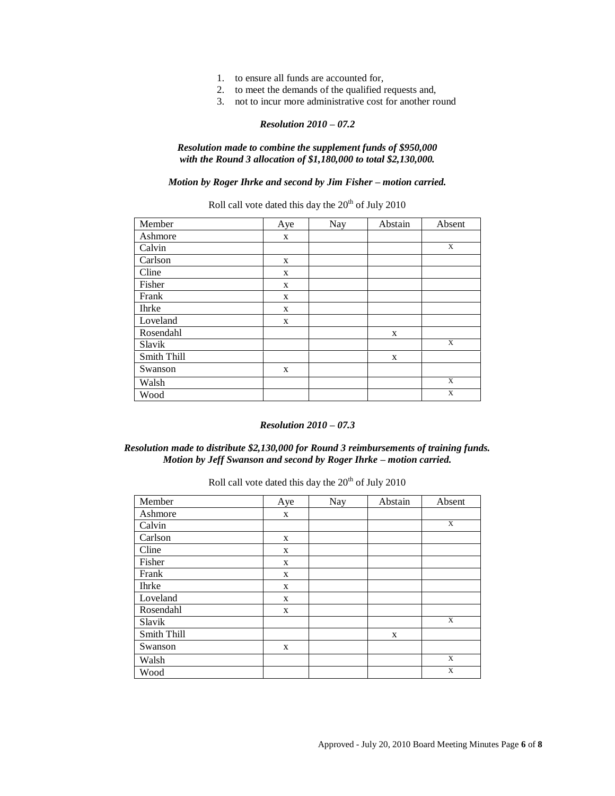- 1. to ensure all funds are accounted for,
- 2. to meet the demands of the qualified requests and,
- 3. not to incur more administrative cost for another round

*Resolution made to combine the supplement funds of \$950,000 with the Round 3 allocation of \$1,180,000 to total \$2,130,000.*

*Motion by Roger Ihrke and second by Jim Fisher – motion carried.*

Roll call vote dated this day the  $20<sup>th</sup>$  of July 2010

| Member      | Aye | Nay | Abstain | Absent      |
|-------------|-----|-----|---------|-------------|
| Ashmore     | X   |     |         |             |
| Calvin      |     |     |         | X           |
| Carlson     | X   |     |         |             |
| Cline       | X   |     |         |             |
| Fisher      | X   |     |         |             |
| Frank       | X   |     |         |             |
| Ihrke       | X   |     |         |             |
| Loveland    | X   |     |         |             |
| Rosendahl   |     |     | X       |             |
| Slavik      |     |     |         | X           |
| Smith Thill |     |     | X       |             |
| Swanson     | X   |     |         |             |
| Walsh       |     |     |         | $\mathbf X$ |
| Wood        |     |     |         | X           |

#### *Resolution 2010 – 07.3*

# *Resolution made to distribute \$2,130,000 for Round 3 reimbursements of training funds. Motion by Jeff Swanson and second by Roger Ihrke – motion carried.*

| Member       | Aye | Nay | Abstain | Absent |
|--------------|-----|-----|---------|--------|
| Ashmore      | X   |     |         |        |
| Calvin       |     |     |         | X      |
| Carlson      | X   |     |         |        |
| Cline        | X   |     |         |        |
| Fisher       | X   |     |         |        |
| Frank        | X   |     |         |        |
| <b>Ihrke</b> | X   |     |         |        |
| Loveland     | X   |     |         |        |
| Rosendahl    | X   |     |         |        |
| Slavik       |     |     |         | X      |
| Smith Thill  |     |     | X       |        |
| Swanson      | X   |     |         |        |
| Walsh        |     |     |         | X      |
| Wood         |     |     |         | X      |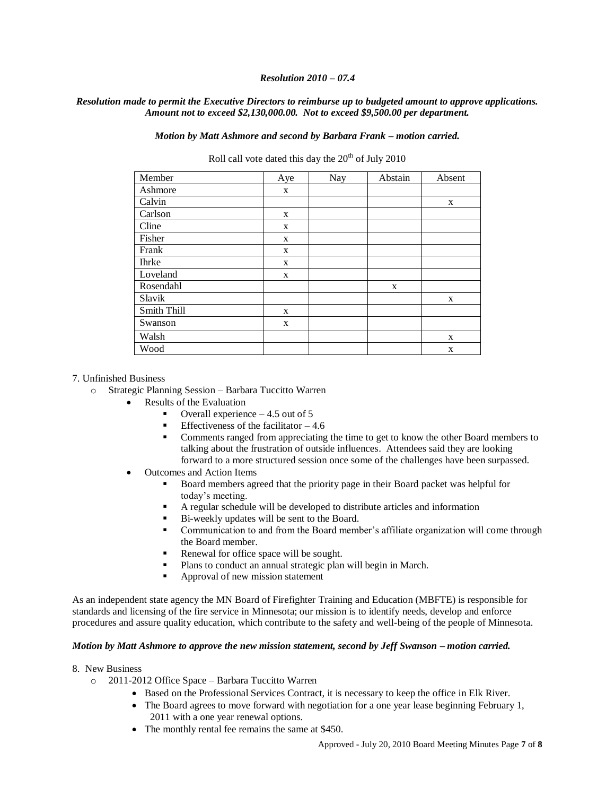## *Resolution made to permit the Executive Directors to reimburse up to budgeted amount to approve applications. Amount not to exceed \$2,130,000.00. Not to exceed \$9,500.00 per department.*

*Motion by Matt Ashmore and second by Barbara Frank – motion carried.*

Roll call vote dated this day the  $20<sup>th</sup>$  of July 2010

| Member       | Aye | Nay | Abstain | Absent |
|--------------|-----|-----|---------|--------|
| Ashmore      | X   |     |         |        |
| Calvin       |     |     |         | X      |
| Carlson      | X   |     |         |        |
| Cline        | X   |     |         |        |
| Fisher       | X   |     |         |        |
| Frank        | X   |     |         |        |
| <b>Ihrke</b> | X   |     |         |        |
| Loveland     | X   |     |         |        |
| Rosendahl    |     |     | X       |        |
| Slavik       |     |     |         | X      |
| Smith Thill  | X   |     |         |        |
| Swanson      | X   |     |         |        |
| Walsh        |     |     |         | X      |
| Wood         |     |     |         | X      |

#### 7. Unfinished Business

- o Strategic Planning Session Barbara Tuccitto Warren
	- Results of the Evaluation
		- Overall experience 4.5 out of 5
		- Effectiveness of the facilitator  $-4.6$
		- Comments ranged from appreciating the time to get to know the other Board members to talking about the frustration of outside influences. Attendees said they are looking forward to a more structured session once some of the challenges have been surpassed.
	- Outcomes and Action Items
		- Board members agreed that the priority page in their Board packet was helpful for today's meeting.
		- A regular schedule will be developed to distribute articles and information
		- Bi-weekly updates will be sent to the Board.
		- Communication to and from the Board member's affiliate organization will come through the Board member.
		- Renewal for office space will be sought.
		- Plans to conduct an annual strategic plan will begin in March.
		- Approval of new mission statement

As an independent state agency the MN Board of Firefighter Training and Education (MBFTE) is responsible for standards and licensing of the fire service in Minnesota; our mission is to identify needs, develop and enforce procedures and assure quality education, which contribute to the safety and well-being of the people of Minnesota.

#### *Motion by Matt Ashmore to approve the new mission statement, second by Jeff Swanson – motion carried.*

#### 8. New Business

- o 2011-2012 Office Space Barbara Tuccitto Warren
	- Based on the Professional Services Contract, it is necessary to keep the office in Elk River.
		- $\bullet$  The Board agrees to move forward with negotiation for a one year lease beginning February 1, 2011 with a one year renewal options.
		- The monthly rental fee remains the same at \$450.